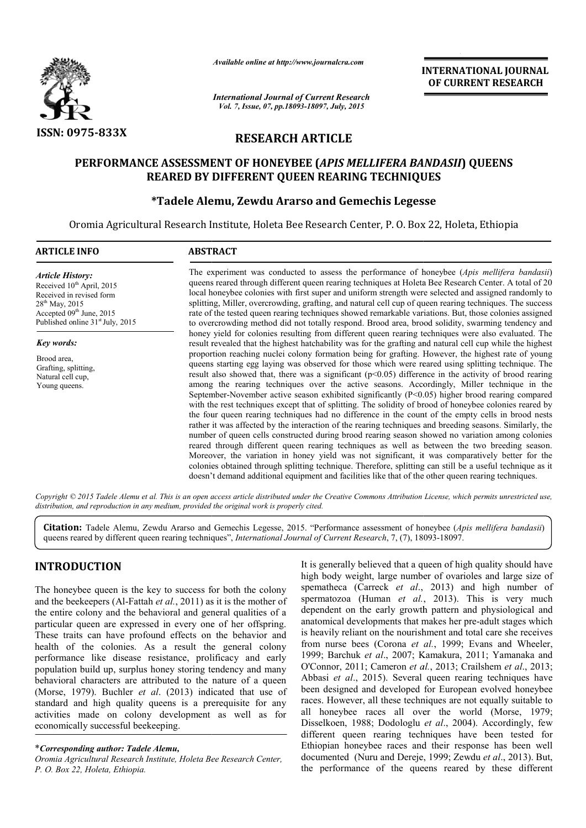

*Available online at http://www.journalcra.com*

# RESEARCH ARTICLE

# PERFORMANCE ASSESSMENT OF HONEYBEE ( *APIS MELLIFERA BANDASII* ) QUEENS REARED BY DIFFERENT QUEEN REARING TECHNIQUES

# \*Tadele Alemu, Zewdu Ararso and Gemechis Legesse

|                                                                                                                                                                                                                                                                                                                                                                                                                                                                                                                                                                                                                                                                                                                                                                                                                          | unuvic viime ui nup.//www.jvurnuicru.com                                                                                                                                                                                                                                                                                                                                                                                                                                                                                                                                                                                                                                                                                                                                                                                                                                                                                                                                                                                                                                                                                                                                                                                                                                                                                                                                      |                                                                                                                                                                                                                  | <b>INTERNATIONAL JOURNAL</b><br>OF CURRENT RESEARCH                                                                                                                                                                                                                                                                                                                                                                                                                                                                                                                                                                                                                                                                                                                                                                                                                                        |  |  |
|--------------------------------------------------------------------------------------------------------------------------------------------------------------------------------------------------------------------------------------------------------------------------------------------------------------------------------------------------------------------------------------------------------------------------------------------------------------------------------------------------------------------------------------------------------------------------------------------------------------------------------------------------------------------------------------------------------------------------------------------------------------------------------------------------------------------------|-------------------------------------------------------------------------------------------------------------------------------------------------------------------------------------------------------------------------------------------------------------------------------------------------------------------------------------------------------------------------------------------------------------------------------------------------------------------------------------------------------------------------------------------------------------------------------------------------------------------------------------------------------------------------------------------------------------------------------------------------------------------------------------------------------------------------------------------------------------------------------------------------------------------------------------------------------------------------------------------------------------------------------------------------------------------------------------------------------------------------------------------------------------------------------------------------------------------------------------------------------------------------------------------------------------------------------------------------------------------------------|------------------------------------------------------------------------------------------------------------------------------------------------------------------------------------------------------------------|--------------------------------------------------------------------------------------------------------------------------------------------------------------------------------------------------------------------------------------------------------------------------------------------------------------------------------------------------------------------------------------------------------------------------------------------------------------------------------------------------------------------------------------------------------------------------------------------------------------------------------------------------------------------------------------------------------------------------------------------------------------------------------------------------------------------------------------------------------------------------------------------|--|--|
|                                                                                                                                                                                                                                                                                                                                                                                                                                                                                                                                                                                                                                                                                                                                                                                                                          | <b>International Journal of Current Research</b><br>Vol. 7, Issue, 07, pp.18093-18097, July, 2015                                                                                                                                                                                                                                                                                                                                                                                                                                                                                                                                                                                                                                                                                                                                                                                                                                                                                                                                                                                                                                                                                                                                                                                                                                                                             |                                                                                                                                                                                                                  |                                                                                                                                                                                                                                                                                                                                                                                                                                                                                                                                                                                                                                                                                                                                                                                                                                                                                            |  |  |
| <b>ISSN: 0975-833X</b>                                                                                                                                                                                                                                                                                                                                                                                                                                                                                                                                                                                                                                                                                                                                                                                                   |                                                                                                                                                                                                                                                                                                                                                                                                                                                                                                                                                                                                                                                                                                                                                                                                                                                                                                                                                                                                                                                                                                                                                                                                                                                                                                                                                                               |                                                                                                                                                                                                                  |                                                                                                                                                                                                                                                                                                                                                                                                                                                                                                                                                                                                                                                                                                                                                                                                                                                                                            |  |  |
|                                                                                                                                                                                                                                                                                                                                                                                                                                                                                                                                                                                                                                                                                                                                                                                                                          | PERFORMANCE ASSESSMENT OF HONEYBEE (APIS MELLIFERA BANDASII) QUEENS<br>REARED BY DIFFERENT QUEEN REARING TECHNIQUES<br><i><b>*Tadele Alemu, Zewdu Ararso and Gemechis Legesse</b></i>                                                                                                                                                                                                                                                                                                                                                                                                                                                                                                                                                                                                                                                                                                                                                                                                                                                                                                                                                                                                                                                                                                                                                                                         |                                                                                                                                                                                                                  |                                                                                                                                                                                                                                                                                                                                                                                                                                                                                                                                                                                                                                                                                                                                                                                                                                                                                            |  |  |
|                                                                                                                                                                                                                                                                                                                                                                                                                                                                                                                                                                                                                                                                                                                                                                                                                          | Oromia Agricultural Research Institute, Holeta Bee Research Center, P. O. Box 22, Holeta, Ethiopia                                                                                                                                                                                                                                                                                                                                                                                                                                                                                                                                                                                                                                                                                                                                                                                                                                                                                                                                                                                                                                                                                                                                                                                                                                                                            |                                                                                                                                                                                                                  |                                                                                                                                                                                                                                                                                                                                                                                                                                                                                                                                                                                                                                                                                                                                                                                                                                                                                            |  |  |
| <b>ARTICLE INFO</b>                                                                                                                                                                                                                                                                                                                                                                                                                                                                                                                                                                                                                                                                                                                                                                                                      | <b>ABSTRACT</b>                                                                                                                                                                                                                                                                                                                                                                                                                                                                                                                                                                                                                                                                                                                                                                                                                                                                                                                                                                                                                                                                                                                                                                                                                                                                                                                                                               |                                                                                                                                                                                                                  |                                                                                                                                                                                                                                                                                                                                                                                                                                                                                                                                                                                                                                                                                                                                                                                                                                                                                            |  |  |
| <b>Article History:</b><br>Received 10 <sup>th</sup> April, 2015<br>Received in revised form<br>28 <sup>th</sup> May, 2015<br>Accepted 09 <sup>th</sup> June, 2015<br>Published online 31 <sup>st</sup> July, 2015                                                                                                                                                                                                                                                                                                                                                                                                                                                                                                                                                                                                       | The experiment was conducted to assess the performance of honeybee (Apis mellifera bandasii)<br>queens reared through different queen rearing techniques at Holeta Bee Research Center. A total of 20<br>local honeybee colonies with first super and uniform strength were selected and assigned randomly to<br>splitting, Miller, overcrowding, grafting, and natural cell cup of queen rearing techniques. The success<br>rate of the tested queen rearing techniques showed remarkable variations. But, those colonies assigned<br>to overcrowding method did not totally respond. Brood area, brood solidity, swarming tendency and                                                                                                                                                                                                                                                                                                                                                                                                                                                                                                                                                                                                                                                                                                                                      |                                                                                                                                                                                                                  |                                                                                                                                                                                                                                                                                                                                                                                                                                                                                                                                                                                                                                                                                                                                                                                                                                                                                            |  |  |
| Key words:                                                                                                                                                                                                                                                                                                                                                                                                                                                                                                                                                                                                                                                                                                                                                                                                               |                                                                                                                                                                                                                                                                                                                                                                                                                                                                                                                                                                                                                                                                                                                                                                                                                                                                                                                                                                                                                                                                                                                                                                                                                                                                                                                                                                               | honey yield for colonies resulting from different queen rearing techniques were also evaluated. The<br>result revealed that the highest hatchability was for the grafting and natural cell cup while the highest |                                                                                                                                                                                                                                                                                                                                                                                                                                                                                                                                                                                                                                                                                                                                                                                                                                                                                            |  |  |
| Brood area,<br>Grafting, splitting,<br>Natural cell cup,<br>Young queens.                                                                                                                                                                                                                                                                                                                                                                                                                                                                                                                                                                                                                                                                                                                                                | proportion reaching nuclei colony formation being for grafting. However, the highest rate of young<br>queens starting egg laying was observed for those which were reared using splitting technique. The<br>result also showed that, there was a significant $(p<0.05)$ difference in the activity of brood rearing<br>among the rearing techniques over the active seasons. Accordingly, Miller technique in the<br>September-November active season exhibited significantly (P<0.05) higher brood rearing compared<br>with the rest techniques except that of splitting. The solidity of brood of honeybee colonies reared by<br>the four queen rearing techniques had no difference in the count of the empty cells in brood nests<br>rather it was affected by the interaction of the rearing techniques and breeding seasons. Similarly, the<br>number of queen cells constructed during brood rearing season showed no variation among colonies<br>reared through different queen rearing techniques as well as between the two breeding season.<br>Moreover, the variation in honey yield was not significant, it was comparatively better for the<br>colonies obtained through splitting technique. Therefore, splitting can still be a useful technique as it<br>doesn't demand additional equipment and facilities like that of the other queen rearing techniques. |                                                                                                                                                                                                                  |                                                                                                                                                                                                                                                                                                                                                                                                                                                                                                                                                                                                                                                                                                                                                                                                                                                                                            |  |  |
|                                                                                                                                                                                                                                                                                                                                                                                                                                                                                                                                                                                                                                                                                                                                                                                                                          | distribution, and reproduction in any medium, provided the original work is properly cited.                                                                                                                                                                                                                                                                                                                                                                                                                                                                                                                                                                                                                                                                                                                                                                                                                                                                                                                                                                                                                                                                                                                                                                                                                                                                                   |                                                                                                                                                                                                                  | Copyright © 2015 Tadele Alemu et al. This is an open access article distributed under the Creative Commons Attribution License, which permits unrestricted use,                                                                                                                                                                                                                                                                                                                                                                                                                                                                                                                                                                                                                                                                                                                            |  |  |
|                                                                                                                                                                                                                                                                                                                                                                                                                                                                                                                                                                                                                                                                                                                                                                                                                          | queens reared by different queen rearing techniques", International Journal of Current Research, 7, (7), 18093-18097.                                                                                                                                                                                                                                                                                                                                                                                                                                                                                                                                                                                                                                                                                                                                                                                                                                                                                                                                                                                                                                                                                                                                                                                                                                                         |                                                                                                                                                                                                                  | Citation: Tadele Alemu, Zewdu Ararso and Gemechis Legesse, 2015. "Performance assessment of honeybee (Apis mellifera bandasii)                                                                                                                                                                                                                                                                                                                                                                                                                                                                                                                                                                                                                                                                                                                                                             |  |  |
| <b>INTRODUCTION</b>                                                                                                                                                                                                                                                                                                                                                                                                                                                                                                                                                                                                                                                                                                                                                                                                      |                                                                                                                                                                                                                                                                                                                                                                                                                                                                                                                                                                                                                                                                                                                                                                                                                                                                                                                                                                                                                                                                                                                                                                                                                                                                                                                                                                               |                                                                                                                                                                                                                  | It is generally believed that a queen of high quality should have<br>high body weight, large number of ovarioles and large size of                                                                                                                                                                                                                                                                                                                                                                                                                                                                                                                                                                                                                                                                                                                                                         |  |  |
| The honeybee queen is the key to success for both the colony<br>and the beekeepers (Al-Fattah et al., 2011) as it is the mother of<br>the entire colony and the behavioral and general qualities of a<br>particular queen are expressed in every one of her offspring.<br>These traits can have profound effects on the behavior and<br>health of the colonies. As a result the general colony<br>performance like disease resistance, prolificacy and early<br>population build up, surplus honey storing tendency and many<br>behavioral characters are attributed to the nature of a queen<br>(Morse, 1979). Buchler et al. (2013) indicated that use of<br>standard and high quality queens is a prerequisite for any<br>activities made on colony development as well as for<br>economically successful beekeeping. |                                                                                                                                                                                                                                                                                                                                                                                                                                                                                                                                                                                                                                                                                                                                                                                                                                                                                                                                                                                                                                                                                                                                                                                                                                                                                                                                                                               |                                                                                                                                                                                                                  | spematheca (Carreck et al., 2013) and high number of<br>spermatozoa (Human et al., 2013). This is very much<br>dependent on the early growth pattern and physiological and<br>anatomical developments that makes her pre-adult stages which<br>is heavily reliant on the nourishment and total care she receives<br>from nurse bees (Corona et al., 1999; Evans and Wheeler,<br>1999; Barchuk et al., 2007; Kamakura, 2011; Yamanaka and<br>O'Connor, 2011; Cameron et al., 2013; Crailshem et al., 2013;<br>Abbasi et al., 2015). Several queen rearing techniques have<br>been designed and developed for European evolved honeybee<br>races. However, all these techniques are not equally suitable to<br>all honeybee races all over the world (Morse, 1979;<br>Disselkoen, 1988; Dodologlu et al., 2004). Accordingly, few<br>different queen rearing techniques have been tested for |  |  |
| *Corresponding author: Tadele Alemu,<br>Oromia Agricultural Research Institute, Holeta Bee Research Center,<br>P. O. Box 22, Holeta, Ethiopia.                                                                                                                                                                                                                                                                                                                                                                                                                                                                                                                                                                                                                                                                           |                                                                                                                                                                                                                                                                                                                                                                                                                                                                                                                                                                                                                                                                                                                                                                                                                                                                                                                                                                                                                                                                                                                                                                                                                                                                                                                                                                               |                                                                                                                                                                                                                  | Ethiopian honeybee races and their response has been well<br>documented (Nuru and Dereje, 1999; Zewdu et al., 2013). But,<br>the performance of the queens reared by these different                                                                                                                                                                                                                                                                                                                                                                                                                                                                                                                                                                                                                                                                                                       |  |  |

# INTRODUCTION

#### \**Corresponding author: Tadele Alemu,*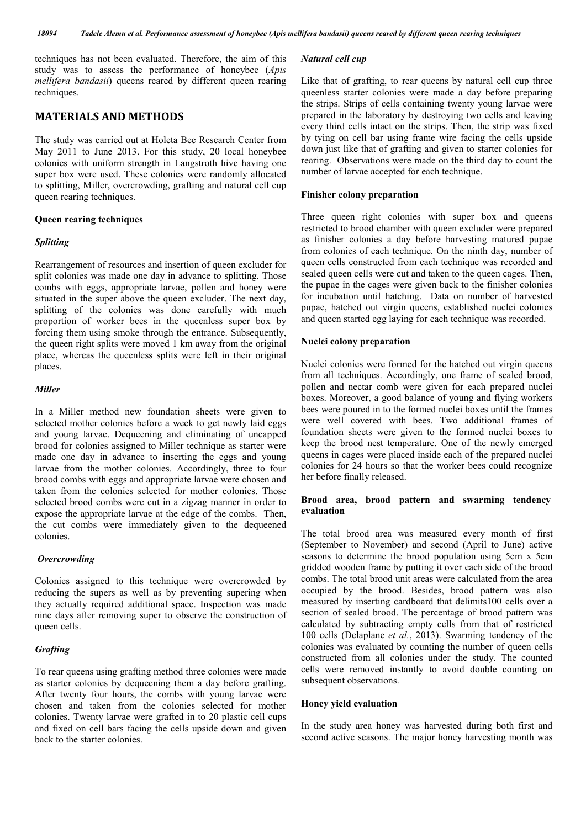techniques has not been evaluated. Therefore, the aim of this study was to assess the performance of honeybee (*Apis mellifera bandasii*) queens reared by different queen rearing techniques.

# MATERIALS AND METHODS

The study was carried out at Holeta Bee Research Center from May 2011 to June 2013. For this study, 20 local honeybee colonies with uniform strength in Langstroth hive having one super box were used. These colonies were randomly allocated to splitting, Miller, overcrowding, grafting and natural cell cup queen rearing techniques.

### Queen rearing techniques

#### *Splitting*

Rearrangement of resources and insertion of queen excluder for split colonies was made one day in advance to splitting. Those combs with eggs, appropriate larvae, pollen and honey were situated in the super above the queen excluder. The next day, splitting of the colonies was done carefully with much proportion of worker bees in the queenless super box by forcing them using smoke through the entrance. Subsequently, the queen right splits were moved 1 km away from the original place, whereas the queenless splits were left in their original places.

#### *Miller*

In a Miller method new foundation sheets were given to selected mother colonies before a week to get newly laid eggs and young larvae. Dequeening and eliminating of uncapped brood for colonies assigned to Miller technique as starter were made one day in advance to inserting the eggs and young larvae from the mother colonies. Accordingly, three to four brood combs with eggs and appropriate larvae were chosen and taken from the colonies selected for mother colonies. Those selected brood combs were cut in a zigzag manner in order to expose the appropriate larvae at the edge of the combs. Then, the cut combs were immediately given to the dequeened colonies.

#### *Overcrowding*

Colonies assigned to this technique were overcrowded by reducing the supers as well as by preventing supering when they actually required additional space. Inspection was made nine days after removing super to observe the construction of queen cells.

#### *Grafting*

To rear queens using grafting method three colonies were made as starter colonies by dequeening them a day before grafting. After twenty four hours, the combs with young larvae were chosen and taken from the colonies selected for mother colonies. Twenty larvae were grafted in to 20 plastic cell cups and fixed on cell bars facing the cells upside down and given back to the starter colonies.

#### *Natural cell cup*

Like that of grafting, to rear queens by natural cell cup three queenless starter colonies were made a day before preparing the strips. Strips of cells containing twenty young larvae were prepared in the laboratory by destroying two cells and leaving every third cells intact on the strips. Then, the strip was fixed by tying on cell bar using frame wire facing the cells upside down just like that of grafting and given to starter colonies for rearing. Observations were made on the third day to count the number of larvae accepted for each technique.

#### Finisher colony preparation

Three queen right colonies with super box and queens restricted to brood chamber with queen excluder were prepared as finisher colonies a day before harvesting matured pupae from colonies of each technique. On the ninth day, number of queen cells constructed from each technique was recorded and sealed queen cells were cut and taken to the queen cages. Then, the pupae in the cages were given back to the finisher colonies for incubation until hatching. Data on number of harvested pupae, hatched out virgin queens, established nuclei colonies and queen started egg laying for each technique was recorded.

#### Nuclei colony preparation

Nuclei colonies were formed for the hatched out virgin queens from all techniques. Accordingly, one frame of sealed brood, pollen and nectar comb were given for each prepared nuclei boxes. Moreover, a good balance of young and flying workers bees were poured in to the formed nuclei boxes until the frames were well covered with bees. Two additional frames of foundation sheets were given to the formed nuclei boxes to keep the brood nest temperature. One of the newly emerged queens in cages were placed inside each of the prepared nuclei colonies for 24 hours so that the worker bees could recognize her before finally released.

## Brood area, brood pattern and swarming tendency evaluation

The total brood area was measured every month of first (September to November) and second (April to June) active seasons to determine the brood population using 5cm x 5cm gridded wooden frame by putting it over each side of the brood combs. The total brood unit areas were calculated from the area occupied by the brood. Besides, brood pattern was also measured by inserting cardboard that delimits100 cells over a section of sealed brood. The percentage of brood pattern was calculated by subtracting empty cells from that of restricted 100 cells (Delaplane *et al.*, 2013). Swarming tendency of the colonies was evaluated by counting the number of queen cells constructed from all colonies under the study. The counted cells were removed instantly to avoid double counting on subsequent observations.

#### Honey yield evaluation

In the study area honey was harvested during both first and second active seasons. The major honey harvesting month was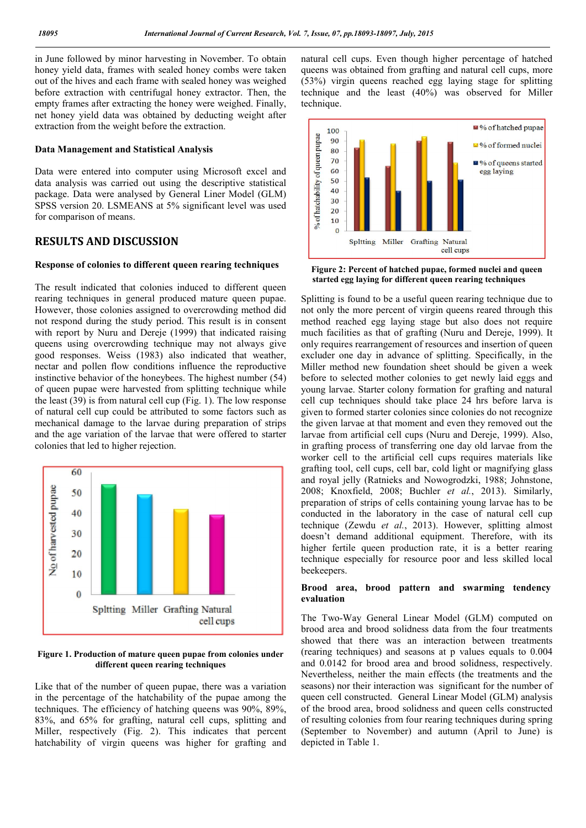in June followed by minor harvesting in November. To obtain honey yield data, frames with sealed honey combs were taken out of the hives and each frame with sealed honey was weighed before extraction with centrifugal honey extractor. Then, the empty frames after extracting the honey were weighed. Finally, net honey yield data was obtained by deducting weight after extraction from the weight before the extraction.

#### Data Management and Statistical Analysis

Data were entered into computer using Microsoft excel and data analysis was carried out using the descriptive statistical package. Data were analysed by General Liner Model (GLM) SPSS version 20. LSMEANS at 5% significant level was used for comparison of means.

## RESULTS AND DISCUSSION

#### Response of colonies to different queen rearing techniques

The result indicated that colonies induced to different queen rearing techniques in general produced mature queen pupae. However, those colonies assigned to overcrowding method did not respond during the study period. This result is in consent with report by Nuru and Dereje (1999) that indicated raising queens using overcrowding technique may not always give good responses. Weiss (1983) also indicated that weather, nectar and pollen flow conditions influence the reproductive instinctive behavior of the honeybees. The highest number (54) of queen pupae were harvested from splitting technique while the least (39) is from natural cell cup (Fig. 1). The low response of natural cell cup could be attributed to some factors such as mechanical damage to the larvae during preparation of strips and the age variation of the larvae that were offered to starter colonies that led to higher rejection.



Figure 1. Production of mature queen pupae from colonies under different queen rearing techniques

Like that of the number of queen pupae, there was a variation in the percentage of the hatchability of the pupae among the techniques. The efficiency of hatching queens was 90%, 89%, 83%, and 65% for grafting, natural cell cups, splitting and Miller, respectively (Fig. 2). This indicates that percent hatchability of virgin queens was higher for grafting and

natural cell cups. Even though higher percentage of hatched queens was obtained from grafting and natural cell cups, more (53%) virgin queens reached egg laying stage for splitting technique and the least (40%) was observed for Miller technique.



Figure 2: Percent of hatched pupae, formed nuclei and queen started egg laying for different queen rearing techniques

Splitting is found to be a useful queen rearing technique due to not only the more percent of virgin queens reared through this method reached egg laying stage but also does not require much facilities as that of grafting (Nuru and Dereje, 1999). It only requires rearrangement of resources and insertion of queen excluder one day in advance of splitting. Specifically, in the Miller method new foundation sheet should be given a week before to selected mother colonies to get newly laid eggs and young larvae. Starter colony formation for grafting and natural cell cup techniques should take place 24 hrs before larva is given to formed starter colonies since colonies do not recognize the given larvae at that moment and even they removed out the larvae from artificial cell cups (Nuru and Dereje, 1999). Also, in grafting process of transferring one day old larvae from the worker cell to the artificial cell cups requires materials like grafting tool, cell cups, cell bar, cold light or magnifying glass and royal jelly (Ratnieks and Nowogrodzki, 1988; Johnstone, 2008; Knoxfield, 2008; Buchler *et al.*, 2013). Similarly, preparation of strips of cells containing young larvae has to be conducted in the laboratory in the case of natural cell cup technique (Zewdu *et al.*, 2013). However, splitting almost doesn't demand additional equipment. Therefore, with its higher fertile queen production rate, it is a better rearing technique especially for resource poor and less skilled local beekeepers.

### Brood area, brood pattern and swarming tendency evaluation

The Two-Way General Linear Model (GLM) computed on brood area and brood solidness data from the four treatments showed that there was an interaction between treatments (rearing techniques) and seasons at p values equals to 0.004 and 0.0142 for brood area and brood solidness, respectively. Nevertheless, neither the main effects (the treatments and the seasons) nor their interaction was significant for the number of queen cell constructed. General Linear Model (GLM) analysis of the brood area, brood solidness and queen cells constructed of resulting colonies from four rearing techniques during spring (September to November) and autumn (April to June) is depicted in Table 1.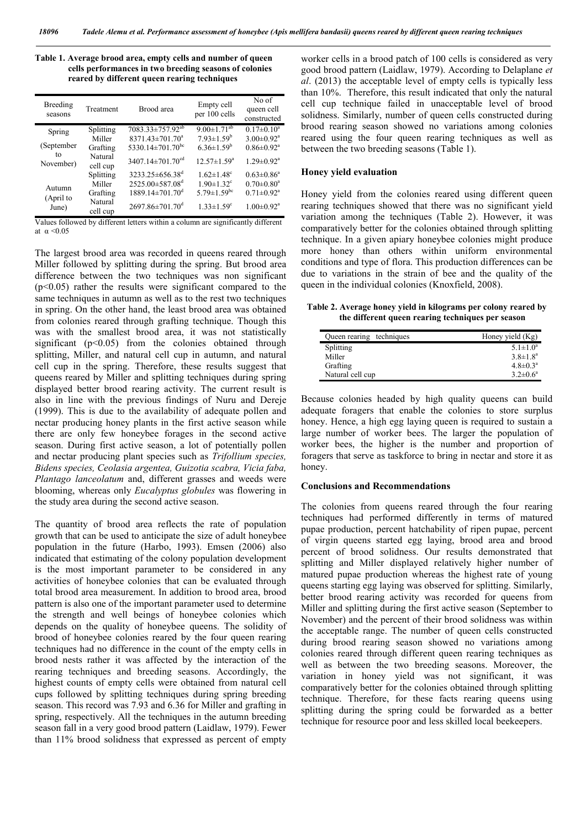| Table 1. Average brood area, empty cells and number of queen |
|--------------------------------------------------------------|
| cells performances in two breeding seasons of colonies       |
| reared by different queen rearing techniques                 |

| Breeding<br>seasons  | Treatment                                  | Brood area                                                                                            | Empty cell<br>per 100 cells                                                                   | No of<br>queen cell<br>constructed                                                |
|----------------------|--------------------------------------------|-------------------------------------------------------------------------------------------------------|-----------------------------------------------------------------------------------------------|-----------------------------------------------------------------------------------|
| Spring<br>(September | Splitting<br>Miller<br>Grafting            | $7083.33 \pm 757.92^{ab}$<br>8371.43±701.70 <sup>a</sup><br>5330.14 $\pm$ 701.70 <sup>bc</sup>        | $9.00 \pm 1.71$ <sup>ab</sup><br>$7.93 \pm 1.59^b$<br>$6.36 \pm 1.59^b$                       | $0.17 \pm 0.10^a$<br>$3.00 \pm 0.92$ <sup>a</sup><br>$0.86 \pm 0.92$ <sup>a</sup> |
| to<br>November)      | Natural<br>cell cup                        | $3407.14 \pm 701.70$ <sup>cd</sup>                                                                    | $12.57 \pm 1.59^a$                                                                            | $1.29 \pm 0.92$ <sup>a</sup>                                                      |
| Autumn<br>(April to  | Splitting<br>Miller<br>Grafting<br>Natural | $3233.25 \pm 656.38$ <sup>d</sup><br>2525.00±587.08 <sup>d</sup><br>$1889.14 \pm 701.70$ <sup>d</sup> | $1.62 \pm 1.48$ <sup>c</sup><br>$1.90 \pm 1.32$ <sup>c</sup><br>$5.79 \pm 1.59$ <sup>bc</sup> | $0.63 \pm 0.86^a$<br>$0.70 \pm 0.80^a$<br>$0.71 \pm 0.92$ <sup>a</sup>            |
| June)                | cell cup                                   | $2697.86 \pm 701.70$ <sup>d</sup>                                                                     | $1.33 \pm 1.59$ <sup>c</sup>                                                                  | $1.00 \pm 0.92$ <sup>a</sup>                                                      |

Values followed by different letters within a column are significantly different at  $\alpha \leq 0.05$ 

The largest brood area was recorded in queens reared through Miller followed by splitting during the spring. But brood area difference between the two techniques was non significant  $(p<0.05)$  rather the results were significant compared to the same techniques in autumn as well as to the rest two techniques in spring. On the other hand, the least brood area was obtained from colonies reared through grafting technique. Though this was with the smallest brood area, it was not statistically significant  $(p<0.05)$  from the colonies obtained through splitting, Miller, and natural cell cup in autumn, and natural cell cup in the spring. Therefore, these results suggest that queens reared by Miller and splitting techniques during spring displayed better brood rearing activity. The current result is also in line with the previous findings of Nuru and Dereje (1999). This is due to the availability of adequate pollen and nectar producing honey plants in the first active season while there are only few honeybee forages in the second active season. During first active season, a lot of potentially pollen and nectar producing plant species such as *Trifollium species, Bidens species, Ceolasia argentea, Guizotia scabra, Vicia faba, Plantago lanceolatum* and, different grasses and weeds were blooming, whereas only *Eucalyptus globules* was flowering in the study area during the second active season.

The quantity of brood area reflects the rate of population growth that can be used to anticipate the size of adult honeybee population in the future (Harbo, 1993). Emsen (2006) also indicated that estimating of the colony population development is the most important parameter to be considered in any activities of honeybee colonies that can be evaluated through total brood area measurement. In addition to brood area, brood pattern is also one of the important parameter used to determine the strength and well beings of honeybee colonies which depends on the quality of honeybee queens. The solidity of brood of honeybee colonies reared by the four queen rearing techniques had no difference in the count of the empty cells in brood nests rather it was affected by the interaction of the rearing techniques and breeding seasons. Accordingly, the highest counts of empty cells were obtained from natural cell cups followed by splitting techniques during spring breeding season. This record was 7.93 and 6.36 for Miller and grafting in spring, respectively. All the techniques in the autumn breeding season fall in a very good brood pattern (Laidlaw, 1979). Fewer than 11% brood solidness that expressed as percent of empty

worker cells in a brood patch of 100 cells is considered as very good brood pattern (Laidlaw, 1979). According to Delaplane *et al*. (2013) the acceptable level of empty cells is typically less than 10%. Therefore, this result indicated that only the natural cell cup technique failed in unacceptable level of brood solidness. Similarly, number of queen cells constructed during brood rearing season showed no variations among colonies reared using the four queen rearing techniques as well as between the two breeding seasons (Table 1).

#### Honey yield evaluation

Honey yield from the colonies reared using different queen rearing techniques showed that there was no significant yield variation among the techniques (Table 2). However, it was comparatively better for the colonies obtained through splitting technique. In a given apiary honeybee colonies might produce more honey than others within uniform environmental conditions and type of flora. This production differences can be due to variations in the strain of bee and the quality of the queen in the individual colonies (Knoxfield, 2008).

Table 2. Average honey yield in kilograms per colony reared by the different queen rearing techniques per season

| Queen rearing techniques | Honey yield (Kg)           |
|--------------------------|----------------------------|
| Splitting                | 5.1 $\pm$ 1.0 <sup>a</sup> |
| Miller                   | $3.8 \pm 1.8^a$            |
| Grafting                 | $4.8 \pm 0.3^a$            |
| Natural cell cup         | $3.2 \pm 0.6^a$            |

Because colonies headed by high quality queens can build adequate foragers that enable the colonies to store surplus honey. Hence, a high egg laying queen is required to sustain a large number of worker bees. The larger the population of worker bees, the higher is the number and proportion of foragers that serve as taskforce to bring in nectar and store it as honey.

#### Conclusions and Recommendations

The colonies from queens reared through the four rearing techniques had performed differently in terms of matured pupae production, percent hatchability of ripen pupae, percent of virgin queens started egg laying, brood area and brood percent of brood solidness. Our results demonstrated that splitting and Miller displayed relatively higher number of matured pupae production whereas the highest rate of young queens starting egg laying was observed for splitting. Similarly, better brood rearing activity was recorded for queens from Miller and splitting during the first active season (September to November) and the percent of their brood solidness was within the acceptable range. The number of queen cells constructed during brood rearing season showed no variations among colonies reared through different queen rearing techniques as well as between the two breeding seasons. Moreover, the variation in honey yield was not significant, it was comparatively better for the colonies obtained through splitting technique. Therefore, for these facts rearing queens using splitting during the spring could be forwarded as a better technique for resource poor and less skilled local beekeepers.